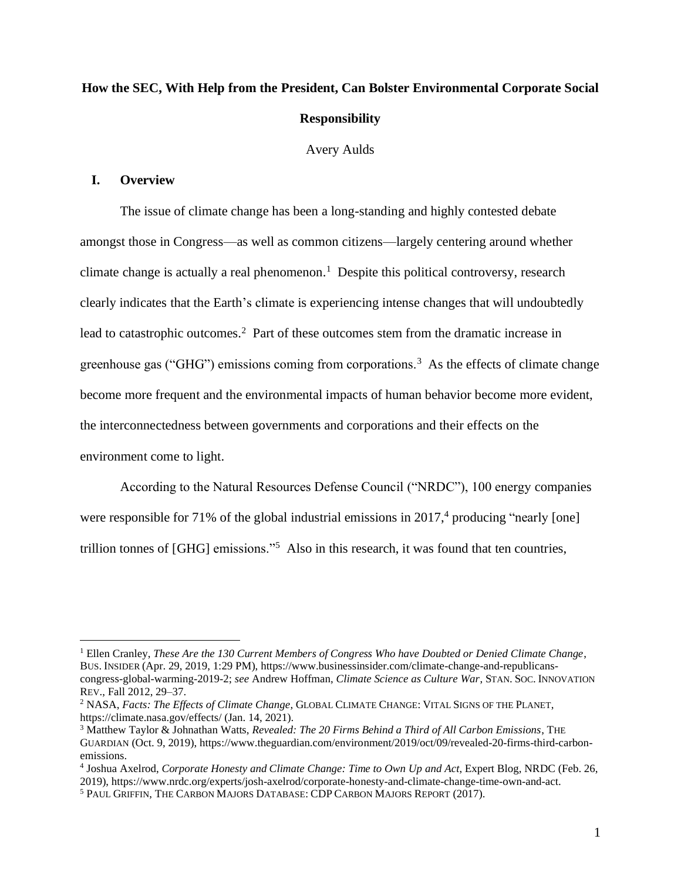# **How the SEC, With Help from the President, Can Bolster Environmental Corporate Social Responsibility**

Avery Aulds

## **I. Overview**

The issue of climate change has been a long-standing and highly contested debate amongst those in Congress—as well as common citizens—largely centering around whether climate change is actually a real phenomenon. <sup>1</sup> Despite this political controversy, research clearly indicates that the Earth's climate is experiencing intense changes that will undoubtedly lead to catastrophic outcomes.<sup>2</sup> Part of these outcomes stem from the dramatic increase in greenhouse gas ("GHG") emissions coming from corporations.<sup>3</sup> As the effects of climate change become more frequent and the environmental impacts of human behavior become more evident, the interconnectedness between governments and corporations and their effects on the environment come to light.

According to the Natural Resources Defense Council ("NRDC"), 100 energy companies were responsible for 71% of the global industrial emissions in 2017,<sup>4</sup> producing "nearly [one] trillion tonnes of [GHG] emissions."<sup>5</sup> Also in this research, it was found that ten countries,

<sup>1</sup> Ellen Cranley, *These Are the 130 Current Members of Congress Who have Doubted or Denied Climate Change*, BUS. INSIDER (Apr. 29, 2019, 1:29 PM), https://www.businessinsider.com/climate-change-and-republicanscongress-global-warming-2019-2; *see* Andrew Hoffman, *Climate Science as Culture War*, STAN.SOC. INNOVATION REV., Fall 2012, 29–37.

<sup>2</sup> NASA, *Facts: The Effects of Climate Change*, GLOBAL CLIMATE CHANGE: VITAL SIGNS OF THE PLANET, https://climate.nasa.gov/effects/ (Jan. 14, 2021).

<sup>3</sup> Matthew Taylor & Johnathan Watts, *Revealed: The 20 Firms Behind a Third of All Carbon Emissions*, THE GUARDIAN (Oct. 9, 2019), https://www.theguardian.com/environment/2019/oct/09/revealed-20-firms-third-carbonemissions.

<sup>4</sup> Joshua Axelrod, *Corporate Honesty and Climate Change: Time to Own Up and Act*, Expert Blog, NRDC (Feb. 26, 2019), https://www.nrdc.org/experts/josh-axelrod/corporate-honesty-and-climate-change-time-own-and-act.

<sup>5</sup> PAUL GRIFFIN, THE CARBON MAJORS DATABASE: CDP CARBON MAJORS REPORT (2017).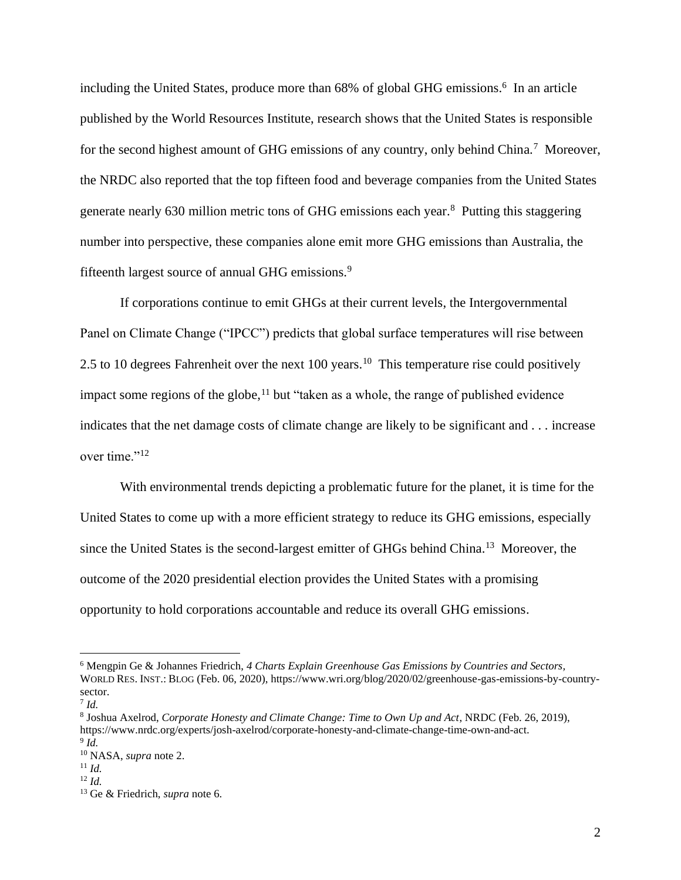including the United States, produce more than 68% of global GHG emissions.<sup>6</sup> In an article published by the World Resources Institute, research shows that the United States is responsible for the second highest amount of GHG emissions of any country, only behind China.<sup>7</sup> Moreover, the NRDC also reported that the top fifteen food and beverage companies from the United States generate nearly 630 million metric tons of GHG emissions each year. <sup>8</sup> Putting this staggering number into perspective, these companies alone emit more GHG emissions than Australia, the fifteenth largest source of annual GHG emissions.<sup>9</sup>

If corporations continue to emit GHGs at their current levels, the Intergovernmental Panel on Climate Change ("IPCC") predicts that global surface temperatures will rise between 2.5 to 10 degrees Fahrenheit over the next 100 years.<sup>10</sup> This temperature rise could positively impact some regions of the globe,  $11$  but "taken as a whole, the range of published evidence indicates that the net damage costs of climate change are likely to be significant and . . . increase over time."<sup>12</sup>

With environmental trends depicting a problematic future for the planet, it is time for the United States to come up with a more efficient strategy to reduce its GHG emissions, especially since the United States is the second-largest emitter of GHGs behind China. <sup>13</sup> Moreover, the outcome of the 2020 presidential election provides the United States with a promising opportunity to hold corporations accountable and reduce its overall GHG emissions.

<sup>6</sup> Mengpin Ge & Johannes Friedrich, *4 Charts Explain Greenhouse Gas Emissions by Countries and Sectors,* WORLD RES. INST.: BLOG (Feb. 06, 2020), https://www.wri.org/blog/2020/02/greenhouse-gas-emissions-by-countrysector.

<sup>7</sup> *Id.*

<sup>8</sup> Joshua Axelrod, *Corporate Honesty and Climate Change: Time to Own Up and Act*, NRDC (Feb. 26, 2019), https://www.nrdc.org/experts/josh-axelrod/corporate-honesty-and-climate-change-time-own-and-act. 9 *Id.*

<sup>10</sup> NASA, *supra* note 2.

 $11$  *Id.* 

<sup>12</sup> *Id.*

<sup>13</sup> Ge & Friedrich, *supra* note 6.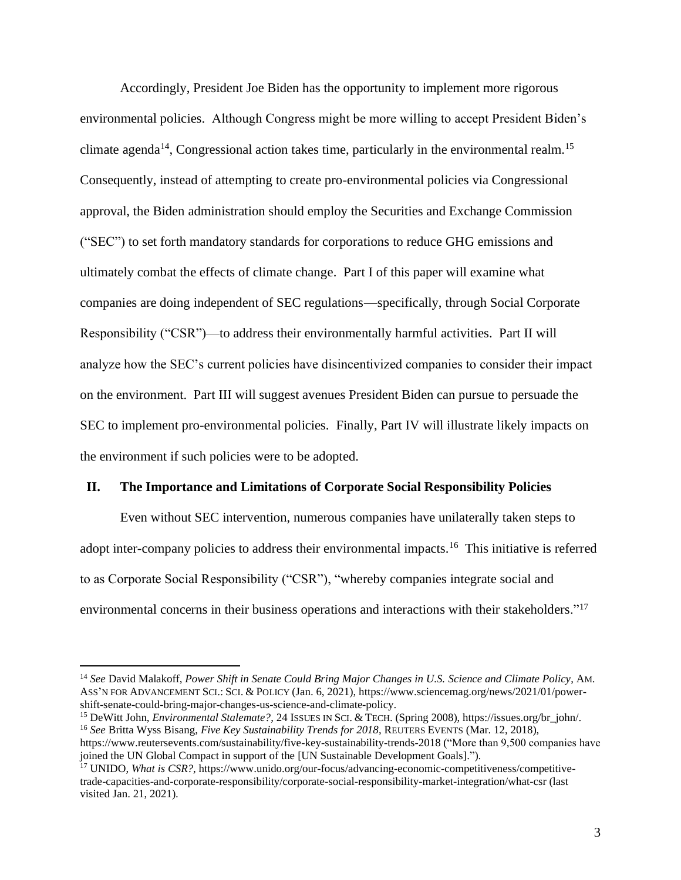Accordingly, President Joe Biden has the opportunity to implement more rigorous environmental policies. Although Congress might be more willing to accept President Biden's climate agenda<sup>14</sup>, Congressional action takes time, particularly in the environmental realm.<sup>15</sup> Consequently, instead of attempting to create pro-environmental policies via Congressional approval, the Biden administration should employ the Securities and Exchange Commission ("SEC") to set forth mandatory standards for corporations to reduce GHG emissions and ultimately combat the effects of climate change. Part I of this paper will examine what companies are doing independent of SEC regulations—specifically, through Social Corporate Responsibility ("CSR")—to address their environmentally harmful activities. Part II will analyze how the SEC's current policies have disincentivized companies to consider their impact on the environment. Part III will suggest avenues President Biden can pursue to persuade the SEC to implement pro-environmental policies. Finally, Part IV will illustrate likely impacts on the environment if such policies were to be adopted.

### **II. The Importance and Limitations of Corporate Social Responsibility Policies**

Even without SEC intervention, numerous companies have unilaterally taken steps to adopt inter-company policies to address their environmental impacts.<sup>16</sup> This initiative is referred to as Corporate Social Responsibility ("CSR"), "whereby companies integrate social and environmental concerns in their business operations and interactions with their stakeholders."<sup>17</sup>

<sup>14</sup> *See* David Malakoff, *Power Shift in Senate Could Bring Major Changes in U.S. Science and Climate Policy*, AM. ASS'N FOR ADVANCEMENT SCI.:SCI. & POLICY (Jan. 6, 2021), https://www.sciencemag.org/news/2021/01/powershift-senate-could-bring-major-changes-us-science-and-climate-policy.

<sup>&</sup>lt;sup>15</sup> DeWitt John, *Environmental Stalemate?*, 24 ISSUES IN SCI. & TECH. (Spring 2008), https://issues.org/br\_john/. <sup>16</sup> *See* Britta Wyss Bisang, *Five Key Sustainability Trends for 2018*, REUTERS EVENTS (Mar. 12, 2018),

https://www.reutersevents.com/sustainability/five-key-sustainability-trends-2018 ("More than 9,500 companies have joined the UN Global Compact in support of the [UN Sustainable Development Goals].").

<sup>&</sup>lt;sup>17</sup> UNIDO, *What is CSR?*, https://www.unido.org/our-focus/advancing-economic-competitiveness/competitivetrade-capacities-and-corporate-responsibility/corporate-social-responsibility-market-integration/what-csr (last visited Jan. 21, 2021).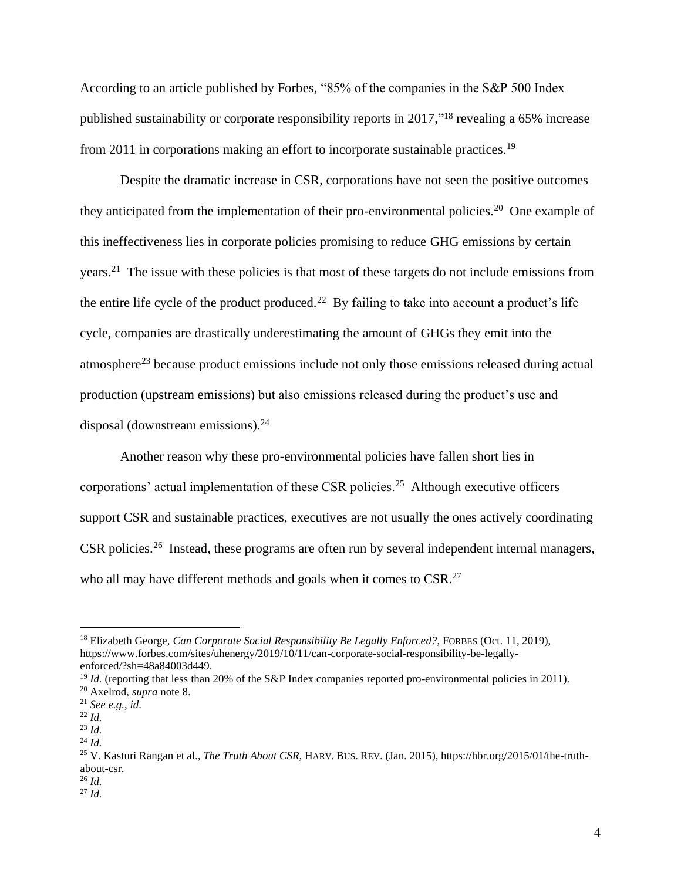According to an article published by Forbes, "85% of the companies in the S&P 500 Index published sustainability or corporate responsibility reports in 2017,"<sup>18</sup> revealing a 65% increase from 2011 in corporations making an effort to incorporate sustainable practices.<sup>19</sup>

Despite the dramatic increase in CSR, corporations have not seen the positive outcomes they anticipated from the implementation of their pro-environmental policies.<sup>20</sup> One example of this ineffectiveness lies in corporate policies promising to reduce GHG emissions by certain years.<sup>21</sup> The issue with these policies is that most of these targets do not include emissions from the entire life cycle of the product produced.<sup>22</sup> By failing to take into account a product's life cycle, companies are drastically underestimating the amount of GHGs they emit into the atmosphere<sup>23</sup> because product emissions include not only those emissions released during actual production (upstream emissions) but also emissions released during the product's use and disposal (downstream emissions).<sup>24</sup>

Another reason why these pro-environmental policies have fallen short lies in corporations' actual implementation of these CSR policies.<sup>25</sup> Although executive officers support CSR and sustainable practices, executives are not usually the ones actively coordinating CSR policies.<sup>26</sup> Instead, these programs are often run by several independent internal managers, who all may have different methods and goals when it comes to CSR.<sup>27</sup>

<sup>26</sup> *Id.*

<sup>27</sup> *Id.*

<sup>18</sup> Elizabeth George, *Can Corporate Social Responsibility Be Legally Enforced?*, FORBES (Oct. 11, 2019), https://www.forbes.com/sites/uhenergy/2019/10/11/can-corporate-social-responsibility-be-legallyenforced/?sh=48a84003d449.

<sup>&</sup>lt;sup>19</sup> *Id.* (reporting that less than 20% of the S&P Index companies reported pro-environmental policies in 2011).

<sup>20</sup> Axelrod, *supra* note 8.

<sup>21</sup> *See e.g.*, *id*.

<sup>22</sup> *Id.*

<sup>23</sup> *Id.*

<sup>24</sup> *Id.*

<sup>25</sup> V. Kasturi Rangan et al., *The Truth About CSR,* HARV. BUS. REV. (Jan. 2015), https://hbr.org/2015/01/the-truthabout-csr.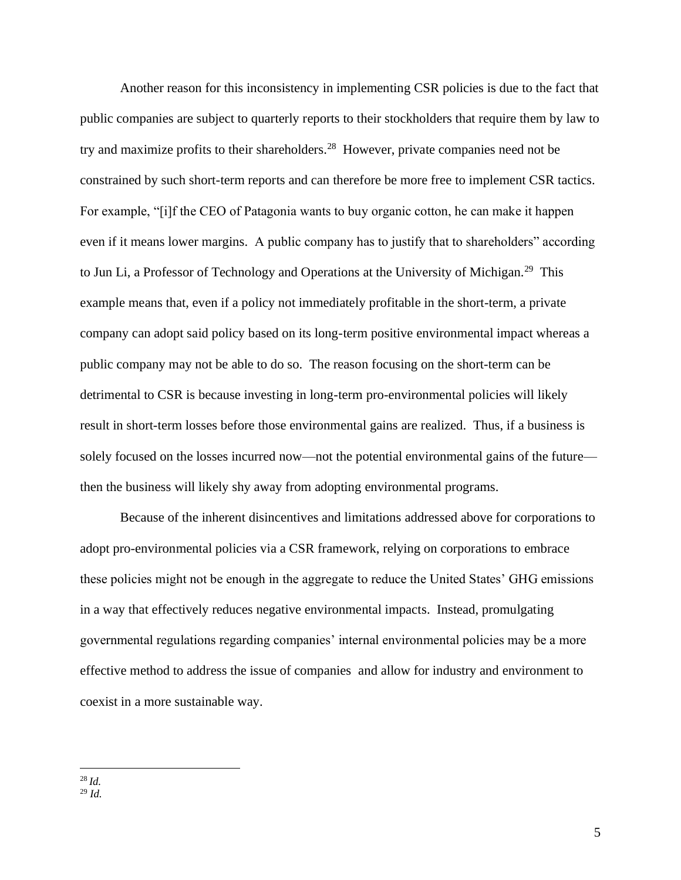Another reason for this inconsistency in implementing CSR policies is due to the fact that public companies are subject to quarterly reports to their stockholders that require them by law to try and maximize profits to their shareholders.<sup>28</sup> However, private companies need not be constrained by such short-term reports and can therefore be more free to implement CSR tactics. For example, "[i]f the CEO of Patagonia wants to buy organic cotton, he can make it happen even if it means lower margins. A public company has to justify that to shareholders" according to Jun Li, a Professor of Technology and Operations at the University of Michigan.<sup>29</sup> This example means that, even if a policy not immediately profitable in the short-term, a private company can adopt said policy based on its long-term positive environmental impact whereas a public company may not be able to do so. The reason focusing on the short-term can be detrimental to CSR is because investing in long-term pro-environmental policies will likely result in short-term losses before those environmental gains are realized. Thus, if a business is solely focused on the losses incurred now—not the potential environmental gains of the future then the business will likely shy away from adopting environmental programs.

Because of the inherent disincentives and limitations addressed above for corporations to adopt pro-environmental policies via a CSR framework, relying on corporations to embrace these policies might not be enough in the aggregate to reduce the United States' GHG emissions in a way that effectively reduces negative environmental impacts. Instead, promulgating governmental regulations regarding companies' internal environmental policies may be a more effective method to address the issue of companies and allow for industry and environment to coexist in a more sustainable way.

<sup>28</sup> *Id.*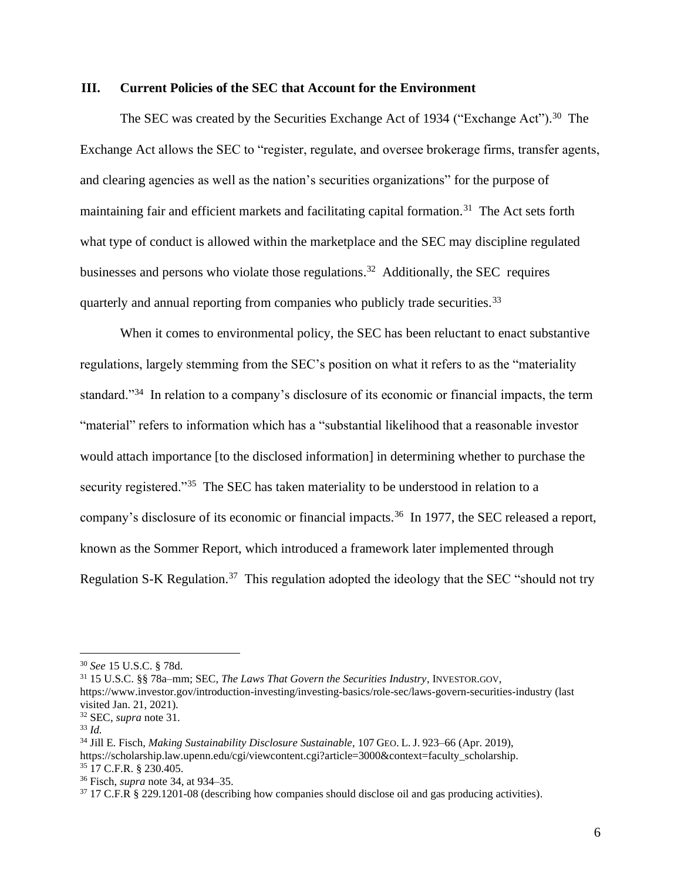#### **III. Current Policies of the SEC that Account for the Environment**

The SEC was created by the Securities Exchange Act of 1934 ("Exchange Act").<sup>30</sup> The Exchange Act allows the SEC to "register, regulate, and oversee brokerage firms, transfer agents, and clearing agencies as well as the nation's securities organizations" for the purpose of maintaining fair and efficient markets and facilitating capital formation.<sup>31</sup> The Act sets forth what type of conduct is allowed within the marketplace and the SEC may discipline regulated businesses and persons who violate those regulations.<sup>32</sup> Additionally, the SEC requires quarterly and annual reporting from companies who publicly trade securities.<sup>33</sup>

When it comes to environmental policy, the SEC has been reluctant to enact substantive regulations, largely stemming from the SEC's position on what it refers to as the "materiality standard."<sup>34</sup> In relation to a company's disclosure of its economic or financial impacts, the term "material" refers to information which has a "substantial likelihood that a reasonable investor would attach importance [to the disclosed information] in determining whether to purchase the security registered."<sup>35</sup> The SEC has taken materiality to be understood in relation to a company's disclosure of its economic or financial impacts.<sup>36</sup> In 1977, the SEC released a report, known as the Sommer Report, which introduced a framework later implemented through Regulation S-K Regulation.<sup>37</sup> This regulation adopted the ideology that the SEC "should not try

<sup>30</sup> *See* 15 U.S.C. § 78d.

<sup>31</sup> 15 U.S.C. §§ 78a–mm; SEC, *The Laws That Govern the Securities Industry*, INVESTOR.GOV,

https://www.investor.gov/introduction-investing/investing-basics/role-sec/laws-govern-securities-industry (last visited Jan. 21, 2021).

<sup>32</sup> SEC, *supra* note 31.

<sup>33</sup> *Id.*

<sup>34</sup> Jill E. Fisch, *Making Sustainability Disclosure Sustainable*, 107 GEO. L. J. 923–66 (Apr. 2019), https://scholarship.law.upenn.edu/cgi/viewcontent.cgi?article=3000&context=faculty\_scholarship. <sup>35</sup> 17 C.F.R. § 230.405.

<sup>36</sup> Fisch, *supra* note 34, at 934–35.

<sup>37</sup> 17 C.F.R § 229.1201-08 (describing how companies should disclose oil and gas producing activities).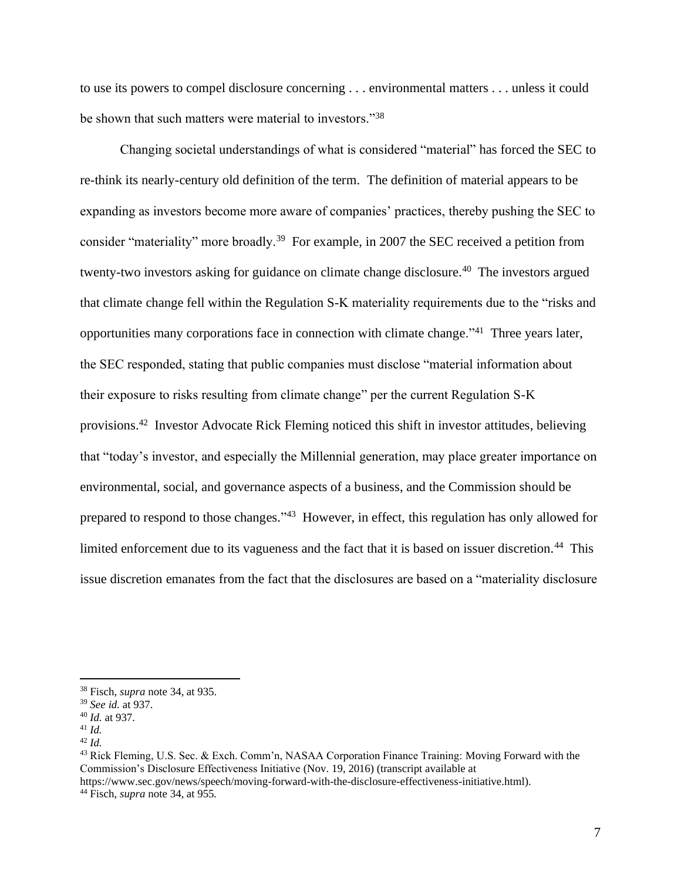to use its powers to compel disclosure concerning . . . environmental matters . . . unless it could be shown that such matters were material to investors."<sup>38</sup>

Changing societal understandings of what is considered "material" has forced the SEC to re-think its nearly-century old definition of the term. The definition of material appears to be expanding as investors become more aware of companies' practices, thereby pushing the SEC to consider "materiality" more broadly.<sup>39</sup> For example, in 2007 the SEC received a petition from twenty-two investors asking for guidance on climate change disclosure.<sup>40</sup> The investors argued that climate change fell within the Regulation S-K materiality requirements due to the "risks and opportunities many corporations face in connection with climate change."<sup>41</sup> Three years later, the SEC responded, stating that public companies must disclose "material information about their exposure to risks resulting from climate change" per the current Regulation S-K provisions.<sup>42</sup> Investor Advocate Rick Fleming noticed this shift in investor attitudes, believing that "today's investor, and especially the Millennial generation, may place greater importance on environmental, social, and governance aspects of a business, and the Commission should be prepared to respond to those changes."<sup>43</sup> However, in effect, this regulation has only allowed for limited enforcement due to its vagueness and the fact that it is based on issuer discretion.<sup>44</sup> This issue discretion emanates from the fact that the disclosures are based on a "materiality disclosure

https://www.sec.gov/news/speech/moving-forward-with-the-disclosure-effectiveness-initiative.html).

<sup>38</sup> Fisch, *supra* note 34, at 935.

<sup>39</sup> *See id.* at 937.

<sup>40</sup> *Id.* at 937.

<sup>41</sup> *Id.*

<sup>42</sup> *Id.*

<sup>43</sup> Rick Fleming, U.S. Sec. & Exch. Comm'n, NASAA Corporation Finance Training: Moving Forward with the Commission's Disclosure Effectiveness Initiative (Nov. 19, 2016) (transcript available at

<sup>44</sup> Fisch, *supra* note 34, at 955*.*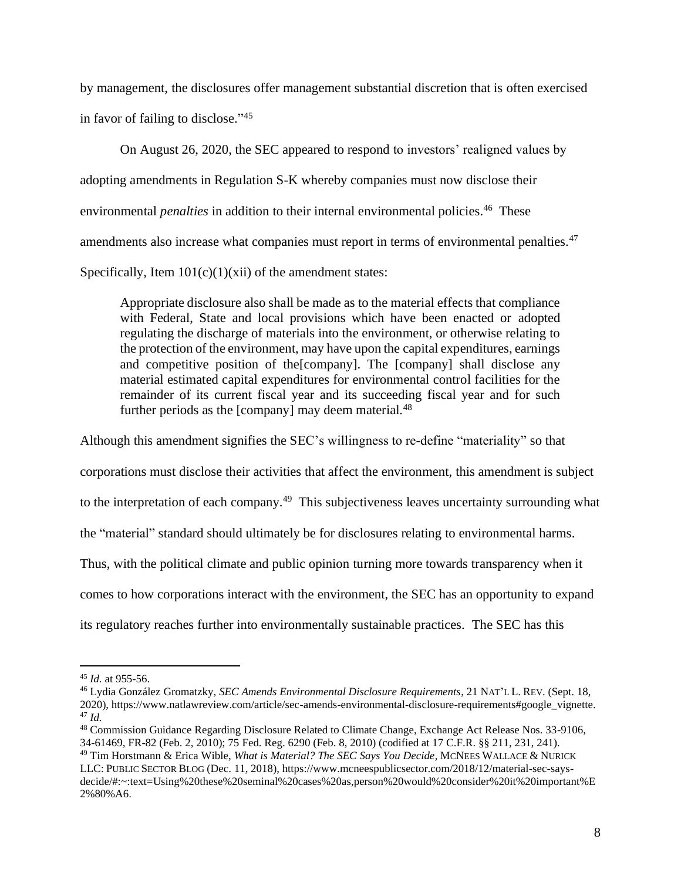by management, the disclosures offer management substantial discretion that is often exercised in favor of failing to disclose." 45

On August 26, 2020, the SEC appeared to respond to investors' realigned values by adopting amendments in Regulation S-K whereby companies must now disclose their environmental *penalties* in addition to their internal environmental policies.<sup>46</sup> These amendments also increase what companies must report in terms of environmental penalties.<sup>47</sup> Specifically, Item  $101(c)(1)(xii)$  of the amendment states:

Appropriate disclosure also shall be made as to the material effects that compliance with Federal, State and local provisions which have been enacted or adopted regulating the discharge of materials into the environment, or otherwise relating to the protection of the environment, may have upon the capital expenditures, earnings and competitive position of the[company]. The [company] shall disclose any material estimated capital expenditures for environmental control facilities for the remainder of its current fiscal year and its succeeding fiscal year and for such further periods as the  $[company]$  may deem material.<sup>48</sup>

Although this amendment signifies the SEC's willingness to re-define "materiality" so that corporations must disclose their activities that affect the environment, this amendment is subject to the interpretation of each company.<sup>49</sup> This subjectiveness leaves uncertainty surrounding what the "material" standard should ultimately be for disclosures relating to environmental harms. Thus, with the political climate and public opinion turning more towards transparency when it comes to how corporations interact with the environment, the SEC has an opportunity to expand its regulatory reaches further into environmentally sustainable practices. The SEC has this

<sup>45</sup> *Id.* at 955-56.

<sup>46</sup> Lydia González Gromatzky, *SEC Amends Environmental Disclosure Requirements*, 21 NAT'L L. REV. (Sept. 18, 2020), https://www.natlawreview.com/article/sec-amends-environmental-disclosure-requirements#google\_vignette. <sup>47</sup> *Id.*

<sup>48</sup> Commission Guidance Regarding Disclosure Related to Climate Change, Exchange Act Release Nos. 33-9106, 34-61469, FR-82 (Feb. 2, 2010); 75 Fed. Reg. 6290 (Feb. 8, 2010) (codified at 17 C.F.R. §§ 211, 231, 241). <sup>49</sup> Tim Horstmann & Erica Wible, *What is Material? The SEC Says You Decide*, MCNEES WALLACE & NURICK LLC:PUBLIC SECTOR BLOG (Dec. 11, 2018), https://www.mcneespublicsector.com/2018/12/material-sec-saysdecide/#:~:text=Using%20these%20seminal%20cases%20as,person%20would%20consider%20it%20important%E 2%80%A6.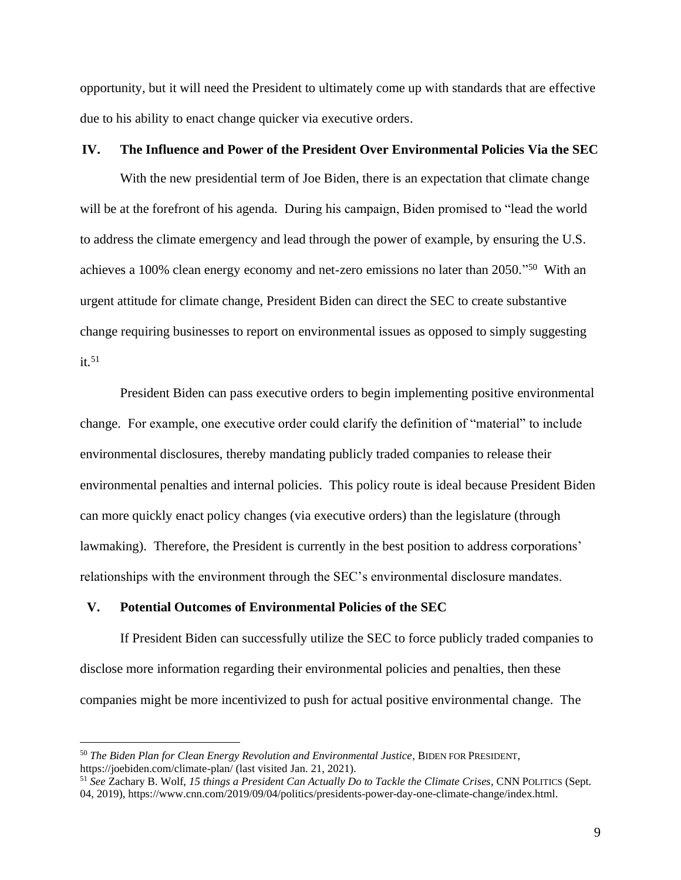opportunity, but it will need the President to ultimately come up with standards that are effective due to his ability to enact change quicker via executive orders.

## **IV. The Influence and Power of the President Over Environmental Policies Via the SEC**

With the new presidential term of Joe Biden, there is an expectation that climate change will be at the forefront of his agenda. During his campaign, Biden promised to "lead the world to address the climate emergency and lead through the power of example, by ensuring the U.S. achieves a 100% clean energy economy and net-zero emissions no later than 2050."<sup>50</sup> With an urgent attitude for climate change, President Biden can direct the SEC to create substantive change requiring businesses to report on environmental issues as opposed to simply suggesting  $it.51$ 

President Biden can pass executive orders to begin implementing positive environmental change. For example, one executive order could clarify the definition of "material" to include environmental disclosures, thereby mandating publicly traded companies to release their environmental penalties and internal policies. This policy route is ideal because President Biden can more quickly enact policy changes (via executive orders) than the legislature (through lawmaking). Therefore, the President is currently in the best position to address corporations' relationships with the environment through the SEC's environmental disclosure mandates.

#### **V. Potential Outcomes of Environmental Policies of the SEC**

If President Biden can successfully utilize the SEC to force publicly traded companies to disclose more information regarding their environmental policies and penalties, then these companies might be more incentivized to push for actual positive environmental change. The

<sup>50</sup> *The Biden Plan for Clean Energy Revolution and Environmental Justice*, BIDEN FOR PRESIDENT, https://joebiden.com/climate-plan/ (last visited Jan. 21, 2021).

<sup>51</sup> *See* Zachary B. Wolf, *15 things a President Can Actually Do to Tackle the Climate Crises*, CNN POLITICS (Sept. 04, 2019), https://www.cnn.com/2019/09/04/politics/presidents-power-day-one-climate-change/index.html.